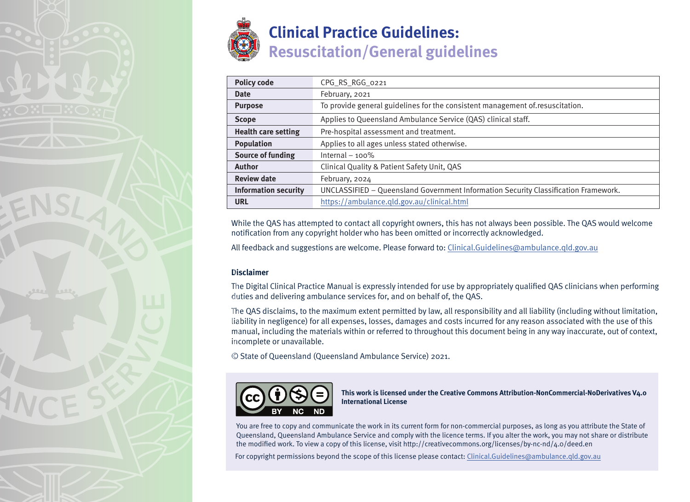

| <b>Policy code</b>          | CPG_RS_RGG_0221                                                                     |
|-----------------------------|-------------------------------------------------------------------------------------|
| <b>Date</b>                 | February, 2021                                                                      |
| <b>Purpose</b>              | To provide general guidelines for the consistent management of resuscitation.       |
| <b>Scope</b>                | Applies to Queensland Ambulance Service (QAS) clinical staff.                       |
| <b>Health care setting</b>  | Pre-hospital assessment and treatment.                                              |
| <b>Population</b>           | Applies to all ages unless stated otherwise.                                        |
| <b>Source of funding</b>    | Internal $-100\%$                                                                   |
| <b>Author</b>               | Clinical Quality & Patient Safety Unit, QAS                                         |
| <b>Review date</b>          | February, 2024                                                                      |
| <b>Information security</b> | UNCLASSIFIED - Queensland Government Information Security Classification Framework. |
| <b>URL</b>                  | https://ambulance.qld.gov.au/clinical.html                                          |

While the QAS has attempted to contact all copyright owners, this has not always been possible. The QAS would welcome notification from any copyright holder who has been omitted or incorrectly acknowledged.

All feedback and suggestions are welcome. Please forward to: Clinical.Guidelines@ambulance.qld.gov.au

#### **Disclaimer**

The Digital Clinical Practice Manual is expressly intended for use by appropriately qualified QAS clinicians when performing duties and delivering ambulance services for, and on behalf of, the QAS.

The QAS disclaims, to the maximum extent permitted by law, all responsibility and all liability (including without limitation, liability in negligence) for all expenses, losses, damages and costs incurred for any reason associated with the use of this manual, including the materials within or referred to throughout this document being in any way inaccurate, out of context, incomplete or unavailable.

© State of Queensland (Queensland Ambulance Service) 2021.



**This work is licensed under the Creative Commons Attribution-NonCommercial-NoDerivatives V4.0 International License**

You are free to copy and communicate the work in its current form for non-commercial purposes, as long as you attribute the State of Queensland, Queensland Ambulance Service and comply with the licence terms. If you alter the work, you may not share or distribute the modified work. To view a copy of this license, visit http://creativecommons.org/licenses/by-nc-nd/4.0/deed.en

For copyright permissions beyond the scope of this license please contact: Clinical.Guidelines@ambulance.qld.gov.au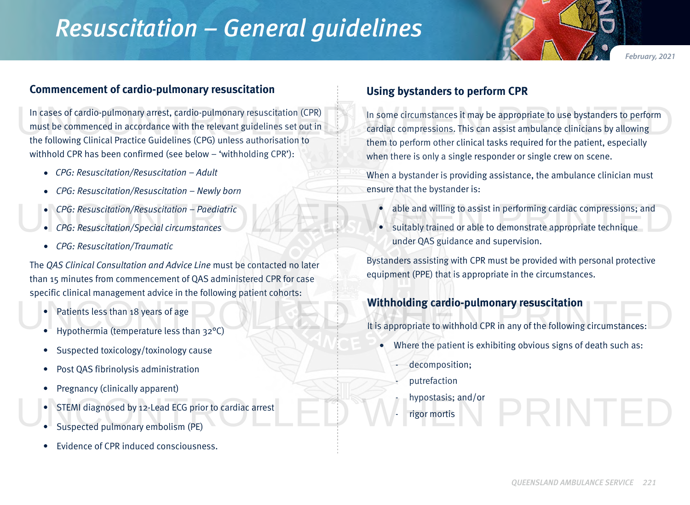# *Resuscitation – General guidelines*

*February, 2021*

## **Commencement of cardio-pulmonary resuscitation**

In cases of cardio-pulmonary arrest, cardio-pulmonary resuscitation (CPR) must be commenced in accordance with the relevant guidelines set out in the following Clinical Practice Guidelines (CPG) unless authorisation to withhold CPR has been confirmed (see below – 'withholding CPR'): In some circumstances it may be appropriate to use bystanders to perform<br>must be commenced in accordance with the relevant guidelines set out in<br>the following Clinical Practice Guidelines (CPG) unless authorisation to<br>them

- *• CPG: Resuscitation/Resuscitation Adult*
- *• CPG: Resuscitation/Resuscitation Newly born*
- *• CPG: Resuscitation/Resuscitation Paediatric*
- *• CPG: Resuscitation/Special circumstances*
- *• CPG: Resuscitation/Traumatic*

The *QAS Clinical Consultation and Advice Line* must be contacted no later than 15 minutes from commencement of QAS administered CPR for case specific clinical management advice in the following patient cohorts:

- Patients less than 18 years of age
- Hypothermia (temperature less than 32°C)
- Suspected toxicology/toxinology cause
- Post QAS fibrinolysis administration
- Pregnancy (clinically apparent)
- STEMI diagnosed by 12-Lead ECG prior to cardiac arrest
- Suspected pulmonary embolism (PE)
- Evidence of CPR induced consciousness.

## **Using bystanders to perform CPR**

In some circumstances it may be appropriate to use bystanders to perform cardiac compressions. This can assist ambulance clinicians by allowing them to perform other clinical tasks required for the patient, especially when there is only a single responder or single crew on scene.

When a bystander is providing assistance, the ambulance clinician must ensure that the bystander is:

- able and willing to assist in performing cardiac compressions; and
- suitably trained or able to demonstrate appropriate technique under QAS guidance and supervision. • CPG: Resuscitation/Resuscitation – Paediatric<br>• CPG: Resuscitation/Special circumstances<br>• CPG: Resuscitation/Special circumstances<br>• Under OAS guidance and supervision

Bystanders assisting with CPR must be provided with personal protective equipment (PPE) that is appropriate in the circumstances.

## **Withholding cardio-pulmonary resuscitation**

It is appropriate to withhold CPR in any of the following circumstances: • Patients less than 18 years of age **Withholding cardio-pulmonary resuscitation**<br>• Hypothermia (temperature less than 32°C) lt is appropriate to withhold CPR in any of the following circumstances:

- Where the patient is exhibiting obvious signs of death such as:
	- decomposition;
	- putrefaction
	- hypostasis; and/or
	- rigor mortis

RINTED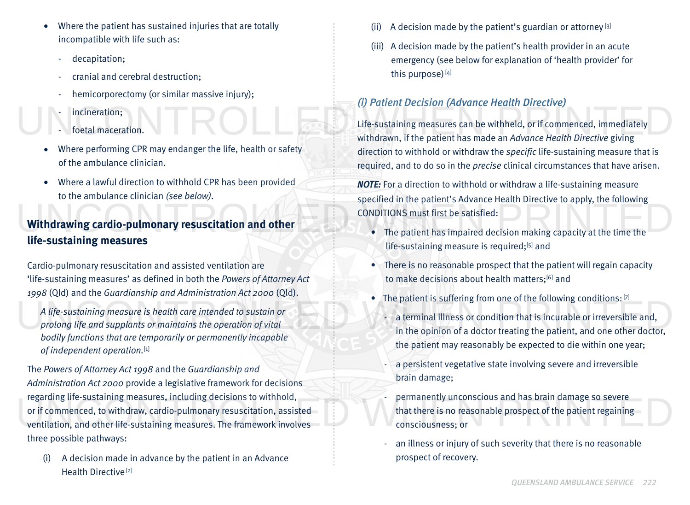- Where the patient has sustained injuries that are totally incompatible with life such as:
	- decapitation;
	- cranial and cerebral destruction;
	- hemicorporectomy (or similar massive injury);
	- incineration:
	- foetal maceration.
- Where performing CPR may endanger the life, health or safety of the ambulance clinician.
- Where a lawful direction to withhold CPR has been provided to the ambulance clinician *(see below)*.

# **Withdrawing cardio-pulmonary resuscitation and other life-sustaining measures** Withdrawing cardio-pulmonary resuscitation and other<br>Life-sustaining measures

Cardio-pulmonary resuscitation and assisted ventilation are 'life-sustaining measures' as defined in both the *Powers of Attorney Act 1998* (Qld) and the *Guardianship and Administration Act 2000* (Qld).

*A life-sustaining measure is health care intended to sustain or prolong life and supplants or maintains the operation of vital bodily functions that are temporarily or permanently incapable of independent operation.*[1] A life-sustaining measure is health care intended to sustain or<br>prolong life and supplants or maintains the operation of vital<br>hodily functions that are temporarily or nermanently incanable<br>in the opinion of a doctor treat

The *Powers of Attorney Act 1998* and the *Guardianship and Administration Act 2000* provide a legislative framework for decisions regarding life-sustaining measures, including decisions to withhold, or if commenced, to withdraw, cardio-pulmonary resuscitation, assisted ventilation, and other life-sustaining measures. The framework involves three possible pathways: regarding life-sustaining measures, including decisions to withhold,<br>or if commenced, to withdraw, cardio-pulmonary resuscitation, assisted that there is no reasonable prospect of the patient regaining<br>ventilation, and oth

(i) A decision made in advance by the patient in an Advance Health Directive<sup>[2]</sup>

- A decision made by the patient's guardian or attorney  $[3]$
- (iii) A decision made by the patient's health provider in an acute emergency (see below for explanation of 'health provider' for this purpose) $[4]$

# *(i) Patient Decision (Advance Health Directive)*

Life-sustaining measures can be withheld, or if commenced, immediately withdrawn, if the patient has made an *Advance Health Directive* giving direction to withhold or withdraw the *specific* life-sustaining measure that is required, and to do so in the *precise* clinical circumstances that have arisen. For the particular procession (in the control of the control of the control of the control of the sustaining measures can be withheld, or if commenced, immediately<br>For the patient has made an *Advance Health Directive* giv

> *NOTE:* For a direction to withhold or withdraw a life-sustaining measure specified in the patient's Advance Health Directive to apply, the following CONDITIONS must first be satisfied:

- The patient has impaired decision making capacity at the time the life-sustaining measure is required;<sup>[5]</sup> and
- There is no reasonable prospect that the patient will regain capacity to make decisions about health matters;<sup>[6]</sup> and
- The patient is suffering from one of the following conditions:  $[7]$ 
	- a terminal illness or condition that is incurable or irreversible and, in the opinion of a doctor treating the patient, and one other doctor, the patient may reasonably be expected to die within one year;
	- a persistent vegetative state involving severe and irreversible brain damage;
	- permanently unconscious and has brain damage so severe that there is no reasonable prospect of the patient regaining consciousness; or
	- an illness or injury of such severity that there is no reasonable prospect of recovery.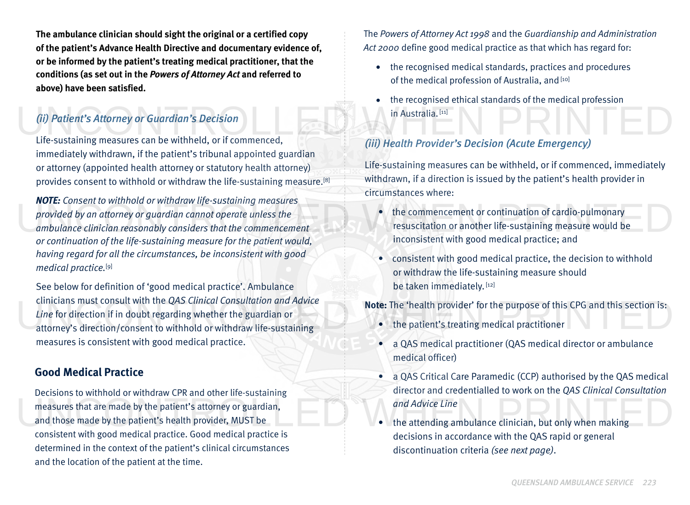**The ambulance clinician should sight the original or a certified copy of the patient's Advance Health Directive and documentary evidence of, or be informed by the patient's treating medical practitioner, that the conditions (as set out in the** *Powers of Attorney Act* **and referred to above) have been satisfied.**

## *(ii) Patient's Attorney or Guardian's Decision*

Life-sustaining measures can be withheld, or if commenced, immediately withdrawn, if the patient's tribunal appointed guardian or attorney (appointed health attorney or statutory health attorney) provides consent to withhold or withdraw the life-sustaining measure.[8]

*NOTE: Consent to withhold or withdraw life-sustaining measures provided by an attorney or guardian cannot operate unless the ambulance clinician reasonably considers that the commencement or continuation of the life-sustaining measure for the patient would, having regard for all the circumstances, be inconsistent with good medical practice.*[9] provided by an attorney or guardian cannot operate unless the<br>ambulance clinician reasonably considers that the commencement<br>or continuation of the life-sustaining measure for the patient would<br>are continuation of the life

See below for definition of 'good medical practice'. Ambulance clinicians must consult with the *QAS Clinical Consultation and Advice Line* for direction if in doubt regarding whether the guardian or attorney's direction/consent to withhold or withdraw life-sustaining measures is consistent with good medical practice. reform direction if in doubt regarding whether the guardian or<br>
attorney's direction/consent to withhold or withdraw life-sustaining<br>
attorney's direction/consent to withhold or withdraw life-sustaining<br>
attorney's directi

## **Good Medical Practice**

Decisions to withhold or withdraw CPR and other life-sustaining measures that are made by the patient's attorney or guardian, and those made by the patient's health provider, MUST be consistent with good medical practice. Good medical practice is determined in the context of the patient's clinical circumstances and the location of the patient at the time. measures that are made by the patient's attorney or guardian,<br>and those made by the patient's health provider, MUST be<br>consistent with good medical practice Good medical practice is<br>decisions in assessmes with the OAS sani

The *Powers of Attorney Act 1998* and the *Guardianship and Administration Act 2000* define good medical practice as that which has regard for:

- the recognised medical standards, practices and procedures of the medical profession of Australia, and [10]
- the recognised ethical standards of the medical profession in Australia. [11] (ii) Patient's Attorney or Guardian's Decision<br>Life-sustaining measures can be withheld, or if commenced, (iii) Health Provider's Decision (Acute Emergency)

## *(iii) Health Provider's Decision (Acute Emergency)*

Life-sustaining measures can be withheld, or if commenced, immediately withdrawn, if a direction is issued by the patient's health provider in circumstances where:

- the commencement or continuation of cardio-pulmonary resuscitation or another life-sustaining measure would be inconsistent with good medical practice; and
- consistent with good medical practice, the decision to withhold or withdraw the life-sustaining measure should be taken immediately. [12]

- the patient's treating medical practitioner
- a QAS medical practitioner (QAS medical director or ambulance medical officer)
- a QAS Critical Care Paramedic (CCP) authorised by the QAS medical director and credentialled to work on the *QAS Clinical Consultation and Advice Line*
- the attending ambulance clinician, but only when making decisions in accordance with the QAS rapid or general discontinuation criteria *(see next page)*.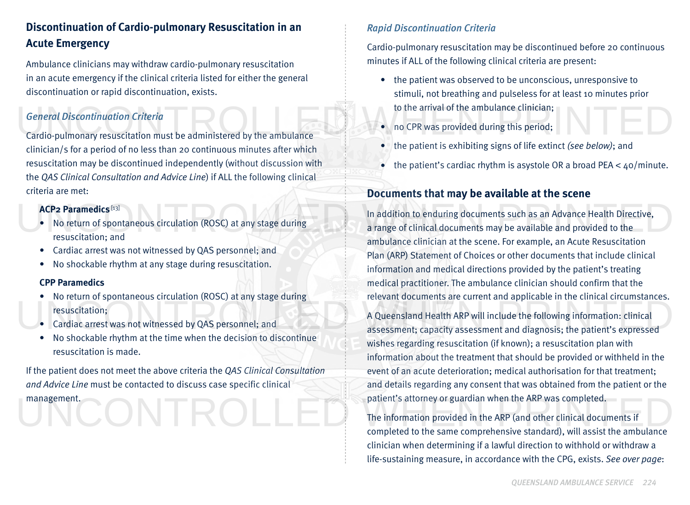# **Discontinuation of Cardio-pulmonary Resuscitation in an Acute Emergency**

Ambulance clinicians may withdraw cardio-pulmonary resuscitation in an acute emergency if the clinical criteria listed for either the general discontinuation or rapid discontinuation, exists.

## *General Discontinuation Criteria*

Cardio-pulmonary resuscitation must be administered by the ambulance clinician/s for a period of no less than 20 continuous minutes after which resuscitation may be discontinued independently (without discussion with the *QAS Clinical Consultation and Advice Line*) if ALL the following clinical criteria are met: General Discontinuation Criteria<br>Cardio-pulmonary resuscitation must be administered by the ambulance<br>Cardio-pulmonary resuscitation must be administered by the ambulance<br>Cardio-pulmonary resuscitation must be administered

#### **ACP2 Paramedics** [13]

- No return of spontaneous circulation (ROSC) at any stage during resuscitation; and
- Cardiac arrest was not witnessed by QAS personnel; and
- No shockable rhythm at any stage during resuscitation.

#### **CPP Paramedics**

- No return of spontaneous circulation (ROSC) at any stage during resuscitation;
- Cardiac arrest was not witnessed by QAS personnel; and
- No shockable rhythm at the time when the decision to discontinue resuscitation is made.

If the patient does not meet the above criteria the *QAS Clinical Consultation and Advice Line* must be contacted to discuss case specific clinical

management.

## *Rapid Discontinuation Criteria*

Cardio-pulmonary resuscitation may be discontinued before 20 continuous minutes if ALL of the following clinical criteria are present:

- the patient was observed to be unconscious, unresponsive to stimuli, not breathing and pulseless for at least 10 minutes prior to the arrival of the ambulance clinician;
- no CPR was provided during this period;
- the patient is exhibiting signs of life extinct *(see below)*; and
- the patient's cardiac rhythm is asystole OR a broad PEA  $<$  40/minute.

# **Documents that may be available at the scene**

In addition to enduring documents such as an Advance Health Directive, a range of clinical documents may be available and provided to the ambulance clinician at the scene. For example, an Acute Resuscitation Plan (ARP) Statement of Choices or other documents that include clinical information and medical directions provided by the patient's treating medical practitioner. The ambulance clinician should confirm that the relevant documents are current and applicable in the clinical circumstances. ACP2 Paramedics<sup>[13]</sup><br>• No return of spontaneous circulation (ROSC) at any stage during<br>resuscitation; and<br>**ACP2 Paramedics**  $^{[13]}$ <br>In addition to enduring documents such as an Advance Health Directive,<br>a range of clinica

A Queensland Health ARP will include the following information: clinical assessment; capacity assessment and diagnosis; the patient's expressed<br>
• No shockable rhythm at the time when the decision to discontinue<br>
• No shockable rhythm at the time when the decision to discontinue wishes regarding resuscitation (if known); a resuscitation plan with information about the treatment that should be provided or withheld in the event of an acute deterioration; medical authorisation for that treatment; and details regarding any consent that was obtained from the patient or the patient's attorney or guardian when the ARP was completed.

The information provided in the ARP (and other clinical documents if management.<br>The information provided in the ARP (and other clinical documents if<br>completed to the same comprehensive standard), will assist the ambulance clinician when determining if a lawful direction to withhold or withdraw a life-sustaining measure, in accordance with the CPG, exists. *See over page*: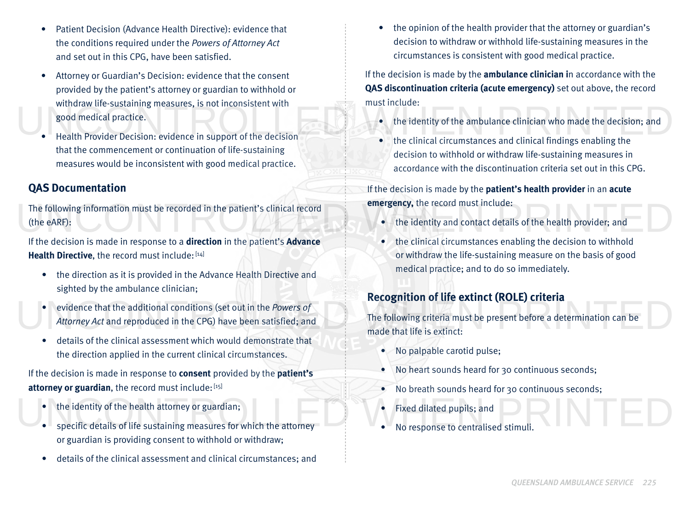- Patient Decision (Advance Health Directive): evidence that the conditions required under the *Powers of Attorney Act* and set out in this CPG, have been satisfied.
- Attorney or Guardian's Decision: evidence that the consent provided by the patient's attorney or guardian to withhold or withdraw life-sustaining measures, is not inconsistent with good medical practice. good medical practice.<br>• Health Provider Decision: evidence in support of the decision<br>• Health Provider Decision: evidence in support of the decision<br>• the clinical circumstances and clinical findings enabling the
	- Health Provider Decision: evidence in support of the decision that the commencement or continuation of life-sustaining measures would be inconsistent with good medical practice.

# **QAS Documentation**

The following information must be recorded in the patient's clinical record (the eARF): The following information must be recorded in the patient's clinical record<br>
(the eARF):<br>
If the decision is made in respecte a **direction** in the patient's **Aluance** 

If the decision is made in response to a **direction** in the patient's **Advance**  Health Directive, the record must include: [14]

- the direction as it is provided in the Advance Health Directive and sighted by the ambulance clinician;
- evidence that the additional conditions (set out in the *Powers of Attorney Act* and reproduced in the CPG) have been satisfied; and • evidence that the additional conditions (set out in the *Powers of*<br>Attorney Act and reproduced in the CPG) have been satisfied; and<br>made that life is extinct:
	- details of the clinical assessment which would demonstrate that the direction applied in the current clinical circumstances.

If the decision is made in response to **consent** provided by the **patient's**  attorney or guardian, the record must include: [15]

- the identity of the health attorney or guardian;
- specific details of life sustaining measures for which the attorney or guardian is providing consent to withhold or withdraw; • the identity of the health attorney or guardian;<br>• specific details of life sustaining measures for which the attorney<br>• No response to centralised stimuli.
	- details of the clinical assessment and clinical circumstances; and

• the opinion of the health provider that the attorney or guardian's decision to withdraw or withhold life-sustaining measures in the circumstances is consistent with good medical practice.

If the decision is made by the **ambulance clinician i**n accordance with the **QAS discontinuation criteria (acute emergency)** set out above, the record must include:

- the identity of the ambulance clinician who made the decision; and
- the clinical circumstances and clinical findings enabling the decision to withhold or withdraw life-sustaining measures in accordance with the discontinuation criteria set out in this CPG.

If the decision is made by the **patient's health provider** in an **acute emergency,** the record must include:

- the identity and contact details of the health provider; and
- the clinical circumstances enabling the decision to withhold or withdraw the life-sustaining measure on the basis of good medical practice; and to do so immediately.

# **Recognition of life extinct (ROLE) criteria**

The following criteria must be present before a determination can be made that life is extinct:

- No palpable carotid pulse;
- No heart sounds heard for 30 continuous seconds;
- No breath sounds heard for 30 continuous seconds;
- Fixed dilated pupils; and
- No response to centralised stimuli.